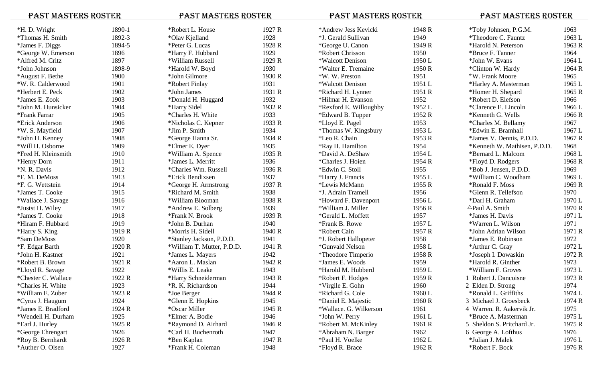| <b>PAST MASTERS ROSTER</b> |        | <b>PAST MASTERS ROSTER</b> |        | <b>PAST MASTERS ROSTER</b> |        | <b>PAST MASTERS ROSTER</b>   |        |
|----------------------------|--------|----------------------------|--------|----------------------------|--------|------------------------------|--------|
| *H. D. Wright              | 1890-1 | *Robert L. House           | 1927 R | *Andrew Jess Kevicki       | 1948 R | *Toby Johnsen, P.G.M.        | 1963   |
| *Thomas H. Smith           | 1892-3 | *Olav Kjelland             | 1928   | *J. Gerald Sullivan        | 1949   | <i>*Theodore C. Fauntz</i>   | 1963 L |
| *James F. Diggs            | 1894-5 | *Peter G. Lucas            | 1928 R | *George U. Canon           | 1949 R | *Harold N. Peterson          | 1963 R |
| *George W. Emerson         | 1896   | *Harry F. Hubbard          | 1929   | *Robert Chrisson           | 1950   | *Bruce F. Tanner             | 1964   |
| *Alfred M. Critz           | 1897   | *William Russell           | 1929 R | *Walcott Denison           | 1950 L | *John W. Evans               | 1964 L |
| *John Johnson              | 1898-9 | *Harold W. Boyd            | 1930   | *Walter E. Tremaine        | 1950 R | *Clinton W. Hardy            | 1964 R |
| *August F. Bethe           | 1900   | *John Gilmore              | 1930 R | *W.W. Preston              | 1951   | *W. Frank Moore              | 1965   |
| *W. R. Calderwood          | 1901   | *Robert Finlay             | 1931   | *Walcott Denison           | 1951 L | *Harley A. Masterman         | 1965 L |
| *Herbert E. Peck           | 1902   | *John James                | 1931 R | *Richard H. Lynner         | 1951 R | *Homer H. Shepard            | 1965 R |
| *James E. Zook             | 1903   | *Donald H. Huggard         | 1932   | *Hilmar H. Evanson         | 1952   | *Robert D. Elefson           | 1966   |
| *John M. Hunsicker         | 1904   | *Harry Sidel               | 1932 R | *Rexford E. Willoughby     | 1952 L | *Clarence E. Lincoln         | 1966 L |
| *Frank Farrar              | 1905   | *Charles H. White          | 1933   | *Edward B. Tupper          | 1952 R | *Kenneth G. Wells            | 1966 R |
| *Erick Anderson            | 1906   | *Nicholas C. Kepner        | 1933 R | *Lloyd E. Pagel            | 1953   | *Charles M. Bellamy          | 1967   |
| *W. S. Mayfield            | 1907   | *Jim P. Smith              | 1934   | *Thomas W. Kingsbury       | 1953 L | *Edwin E. Bramhall           | 1967 L |
| *John H. Kenney            | 1908   | *George Hanna Sr.          | 1934 R | *Leo R. Chain              | 1953 R | *James V. Dennis, P.D.D.     | 1967 R |
| *Will H. Osborne           | 1909   | *Elmer E. Dyer             | 1935   | *Ray H. Hamilton           | 1954   | *Kenneth W. Mathisen, P.D.D. | 1968   |
| *Fred H. Kleinsmith        | 1910   | *William A. Spence         | 1935 R | *David A. DeShaw           | 1954 L | *Bernard L. Malcom           | 1968 L |
| *Henry Dorn                | 1911   | *James L. Merritt          | 1936   | *Charles J. Hoien          | 1954 R | *Floyd D. Rodgers            | 1968 R |
| <i><b>*N. R. Davis</b></i> | 1912   | *Charles Wm. Russell       | 1936 R | *Edwin C. Stoll            | 1955   | *Bob J. Jensen, P.D.D.       | 1969   |
| *F. M. DeMoss              | 1913   | *Erick Bendixsen           | 1937   | *Harry J. Francis          | 1955 L | *William C. Woodham          | 1969 L |
| *F. G. Wettstein           | 1914   | *George H. Armstrong       | 1937 R | *Lewis McMann              | 1955 R | *Ronald F. Moss              | 1969 R |
| *James T. Cooke            | 1915   | *Richard M. Smith          | 1938   | *J. Adrain Tramell         | 1956   | *Glenn R. Tellefson          | 1970   |
| *Wallace J. Savage         | 1916   | *William Blooman           | 1938 R | *Howard F. Davenport       | 1956 L | *Darl H. Graham              | 1970 L |
| *Justst H. Wiley           | 1917   | *Andrew E. Solberg         | 1939   | *William J. Miller         | 1956 R | $\triangle$ Paul A. Smith    | 1970 R |
| *James T. Cooke            | 1918   | *Frank N. Brook            | 1939 R | *Gerald L. Moffett         | 1957   | *James H. Davis              | 1971 L |
| *Hiram F. Hubbard          | 1919   | *John B. Durhan            | 1940   | *Frank B. Rowe             | 1957 L | *Warren L. Wilson            | 1971   |
| *Harry S. King             | 1919 R | *Morris H. Sidell          | 1940 R | *Robert Cain               | 1957 R | *John Adrian Wilson          | 1971 R |
| *Sam DeMoss                | 1920   | *Stanley Jackson, P.D.D.   | 1941   | *J. Robert Hallopeter      | 1958   | *James E. Robinson           | 1972   |
| *F. Edgar Barth            | 1920 R | *William T. Mutter, P.D.D. | 1941 R | *Gunvald Nelson            | 1958 L | *Arthur C. Gray              | 1972 L |
| *John H. Kastner           | 1921   | *James L. Mayers           | 1942   | <i>*Theodore Timperio</i>  | 1958 R | *Joseph I. Dowaskin          | 1972 R |
| *Robert B. Brown           | 1921 R | *Aaron L. Maslan           | 1942 R | *James E. Woods            | 1959   | *Harold R. Ginther           | 1973   |
| *Lloyd R. Savage           | 1922   | *Willis E. Leake           | 1943   | *Harold M. Hubberd         | 1959 L | *William F. Groves           | 1973 L |
| *Chester C. Wallace        | 1922 R | *Harry Schneiderman        | 1943 R | *Robert F. Hodges          | 1959 R | 1 Robert J. Dancoisne        | 1973 R |
| *Charles H. White          | 1923   | *R. K. Richardson          | 1944   | *Virgile E. Gohn           | 1960   | 2 Elden D. Strong            | 1974   |
| *William E. Zuber          | 1923 R | *Joe Berger                | 1944 R | *Richard G. Cole           | 1960 L | *Ronald L. Griffiths         | 1974 L |
| *Cyrus J. Haugum           | 1924   | *Glenn E. Hopkins          | 1945   | *Daniel E. Majestic        | 1960 R | 3 Michael J. Groesbeck       | 1974 R |
| *James E. Bradford         | 1924 R | *Oscar Miller              | 1945 R | *Wallace. G. Wilkerson     | 1961   | 4 Warren. R. Aakervik Jr.    | 1975   |
| *Wendell H. Durham         | 1925   | *Elmer A. Bodie            | 1946   | *John W. Perry             | 1961 L | *Bruce A. Masterman          | 1975 L |
| *Earl J. Hurley            | 1925 R | *Raymond D. Airhard        | 1946 R | *Robert M. McKinley        | 1961 R | 5 Sheldon S. Pritchard Jr.   | 1975 R |
| *George Ehrengart          | 1926   | *Carl H. Buchenroth        | 1947   | *Abraham N. Barger         | 1962   | 6 George A. Lofthus          | 1976   |
| *Roy B. Bernhardt          | 1926 R | *Ben Kaplan                | 1947 R | *Paul H. Voelke            | 1962 L | *Julian J. Malek             | 1976 L |
| *Auther O. Olsen           | 1927   | *Frank H. Coleman          | 1948   | *Floyd R. Brace            | 1962 R | *Robert F. Bock              | 1976 R |